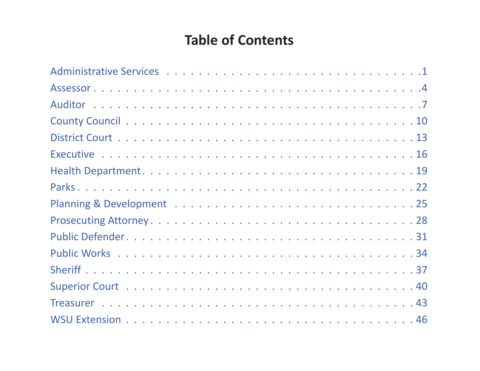# **Table of Contents**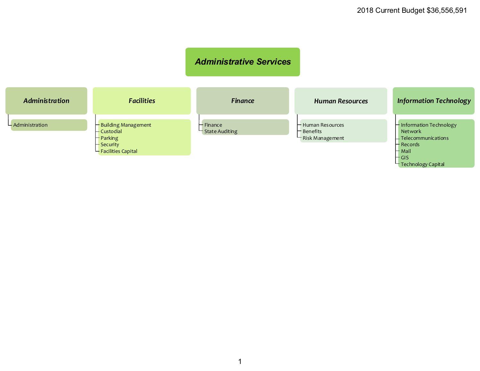#### *Administrative Services*

<span id="page-1-0"></span>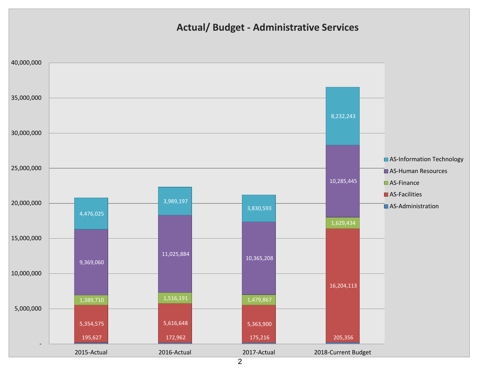### **Actual/ Budget - Administrative Services**

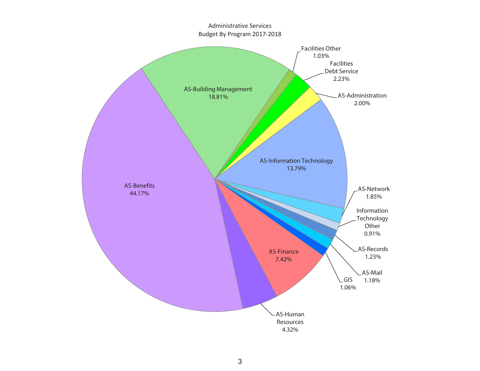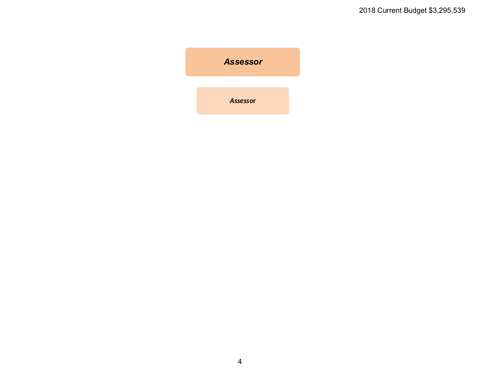<span id="page-4-0"></span>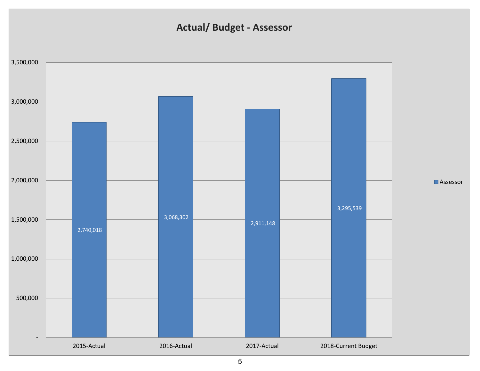# **Actual/ Budget - Assessor**

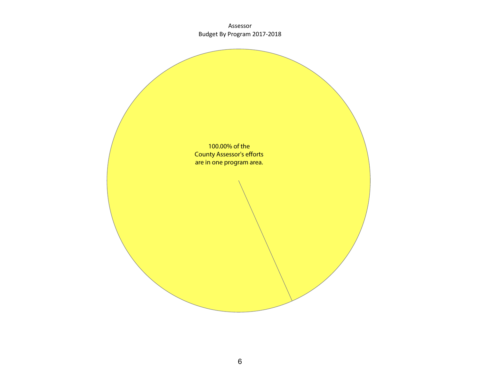Assessor Budget By Program 2017-2018

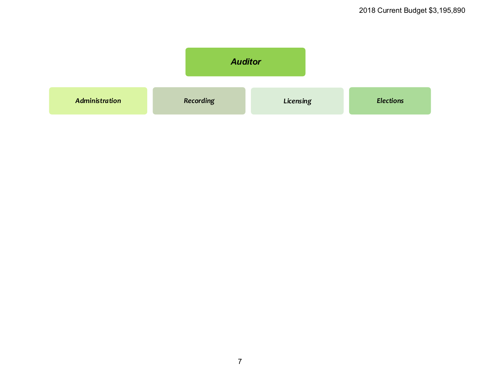<span id="page-7-0"></span>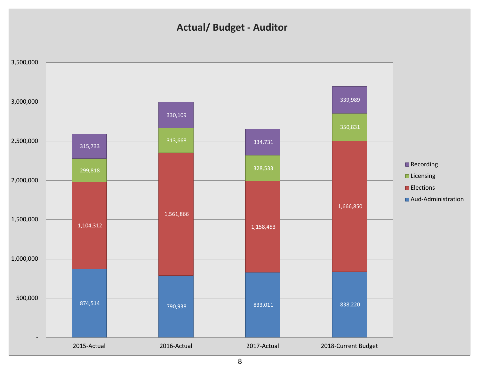### **Actual/ Budget - Auditor**



8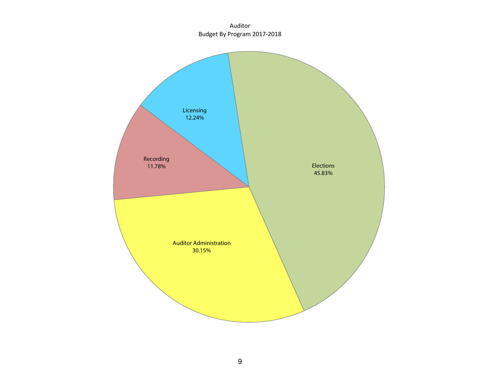Auditor Budget By Program 2017-2018

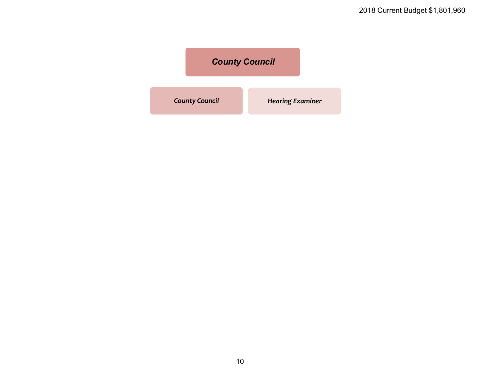<span id="page-10-0"></span>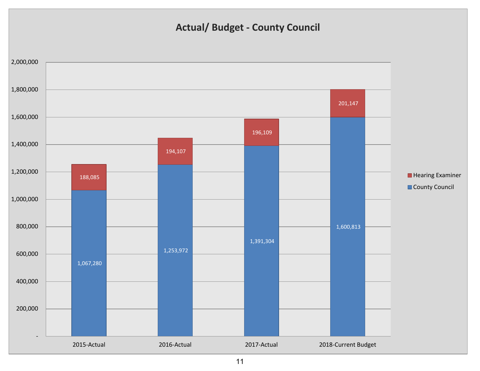### **Actual/ Budget - County Council**

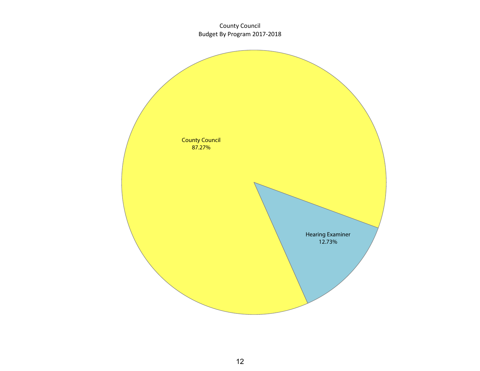County Council Budget By Program 2017-2018

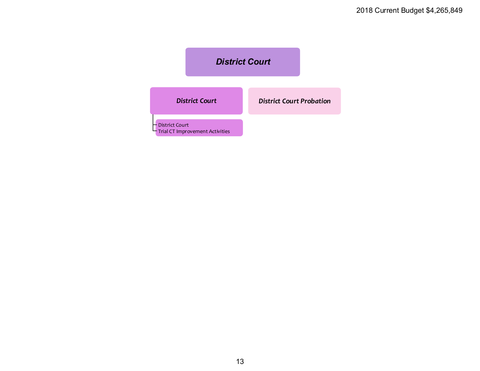<span id="page-13-0"></span>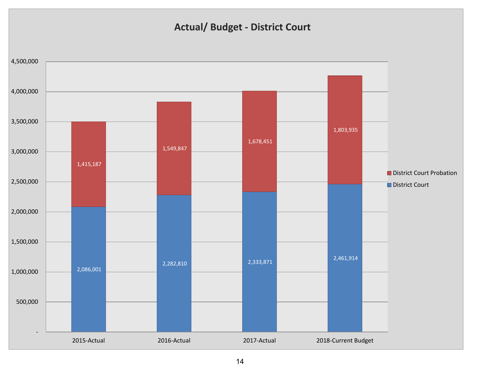### **Actual/ Budget - District Court**

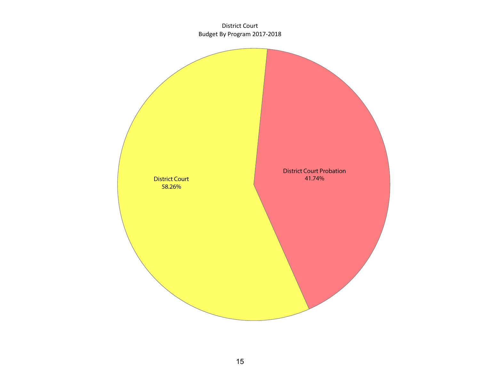District Court Budget By Program 2017-2018

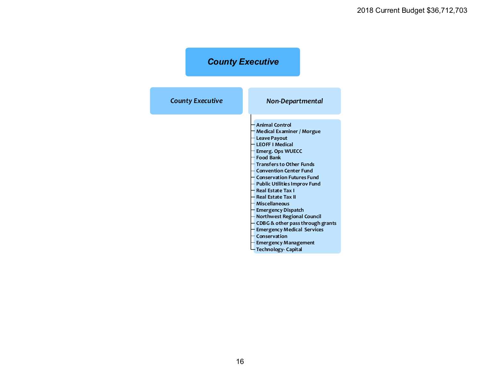# *County Executive*

<span id="page-16-0"></span>

| <b>County Executive</b> | Non-Departmental                                                                                                                                                                                                                                                                                                                                                                                                                                                                                                                                                                           |  |  |
|-------------------------|--------------------------------------------------------------------------------------------------------------------------------------------------------------------------------------------------------------------------------------------------------------------------------------------------------------------------------------------------------------------------------------------------------------------------------------------------------------------------------------------------------------------------------------------------------------------------------------------|--|--|
|                         | <b>Animal Control</b><br>Medical Examiner / Morgue<br><b>Leave Payout</b><br><b>LEOFF I Medical</b><br>Emerg. Ops WUECC<br><b>Food Bank</b><br><b>Transfers to Other Funds</b><br><b>Convention Center Fund</b><br><b>Conservation Futures Fund</b><br><b>Public Utilities Improv Fund</b><br><b>Real Estate Tax I</b><br><b>Real Estate Tax II</b><br><b>Miscellaneous</b><br><b>Emergency Dispatch</b><br>Northwest Regional Council<br>CDBG& other pass through grants<br><b>Emergency Medical Services</b><br>Conservation<br><b>Emergency Management</b><br><b>Technology-Capital</b> |  |  |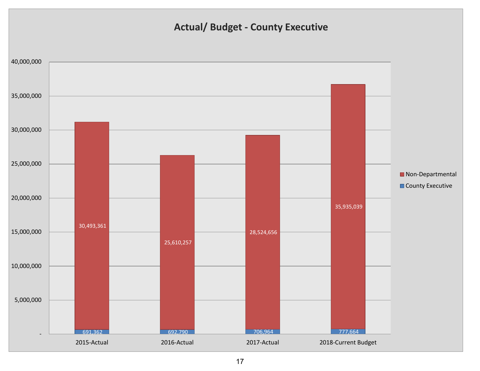### **Actual/ Budget - County Executive**

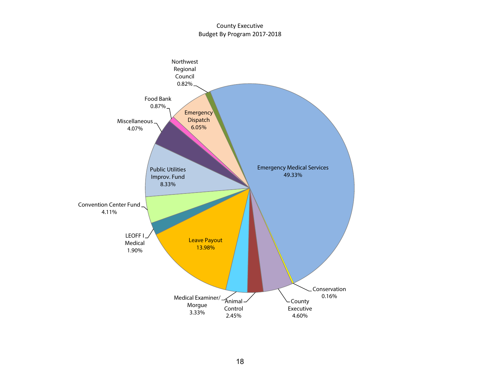#### County Executive Budget By Program 2017-2018

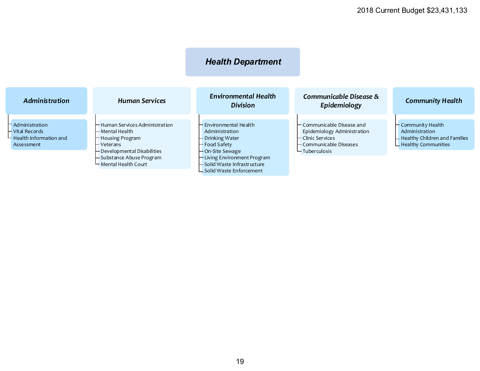# *Health Department*

<span id="page-19-0"></span>

| <b>Administration</b>                                                           | <b>Human Services</b>                                                                 | Environmental Health<br><b>Division</b>                                          | Communicable Disease &<br>Epidemiology                                                                                    | <b>Community Health</b>                                                                                   |
|---------------------------------------------------------------------------------|---------------------------------------------------------------------------------------|----------------------------------------------------------------------------------|---------------------------------------------------------------------------------------------------------------------------|-----------------------------------------------------------------------------------------------------------|
| - Administration<br>- Vital Records<br>$-$ Health Information and<br>Assessment | - Human Services Administration<br>— Mental Health<br>- Housing Program<br>– Veterans | – Environmental Health<br>Administration<br>– Drinking Water<br>— Food Safety    | $\vdash$ Communicable Disease and<br>Epidemiology Administration<br>$-$ Clinic Services<br>$\vdash$ Communicable Diseases | $\vdash$ Community Health<br>Administration<br>- Healthy Children and Families<br>$L$ Healthy Communities |
|                                                                                 | - Developmental Disabilities<br>-Substance Abuse Program<br>– Mental Health Court     | — On-Site Sewage<br>- Living Environment Program<br>- Solid Waste Infrastructure | $-$ Tuberculosis                                                                                                          |                                                                                                           |

Solid Waste Enforcement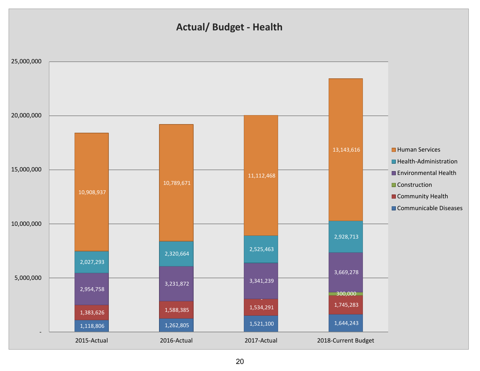### **Actual/ Budget - Health**

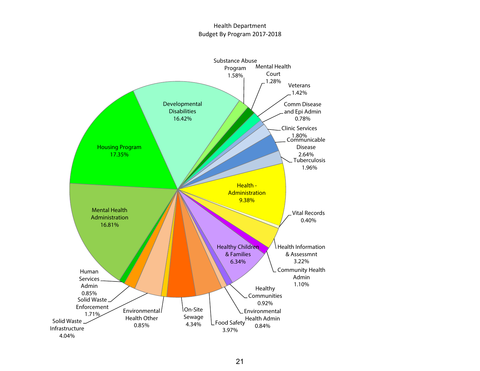#### Health Department Budget By Program 2017-2018

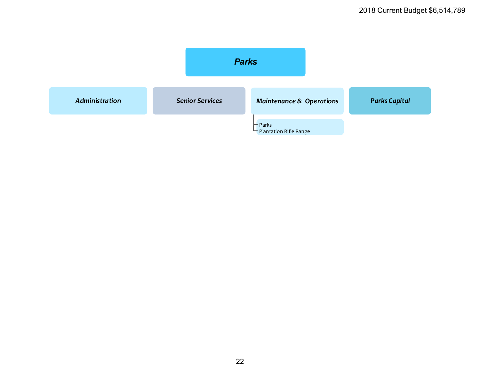<span id="page-22-0"></span>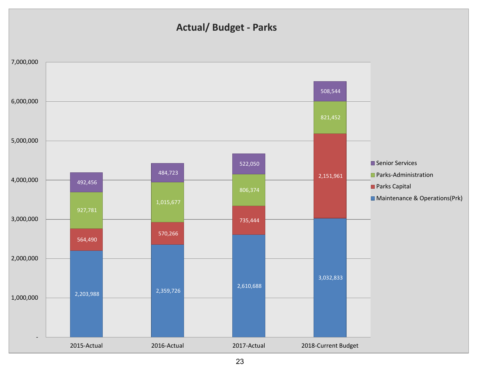### **Actual/ Budget - Parks**

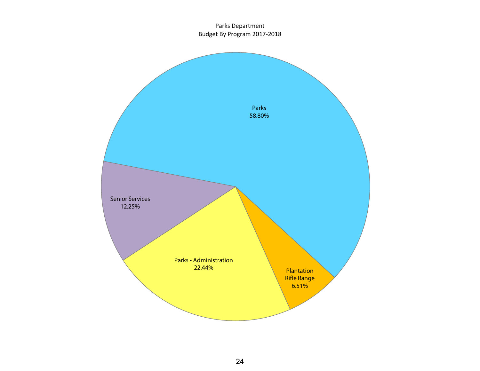#### Parks Department Budget By Program 2017-2018

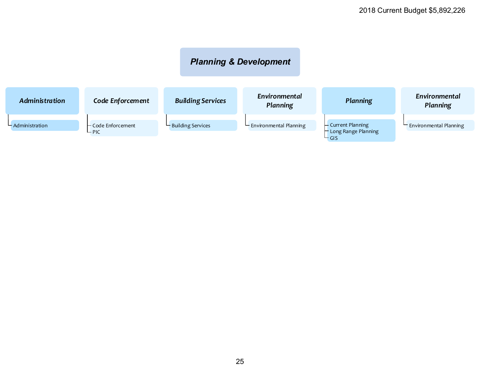### *Planning & Development*

<span id="page-25-0"></span>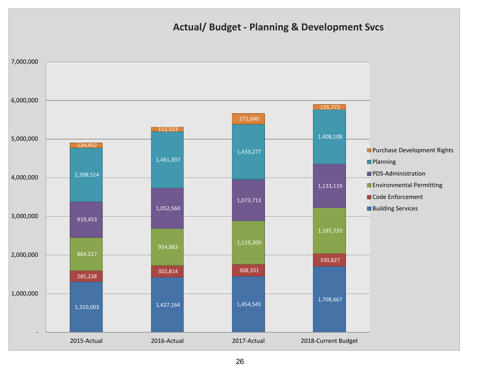### **Actual/ Budget - Planning & Development Svcs**

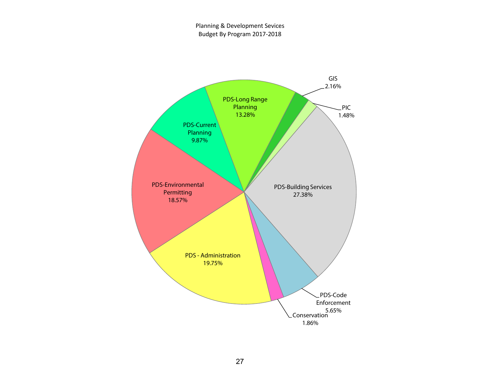Planning & Development Sevices Budget By Program 2017-2018

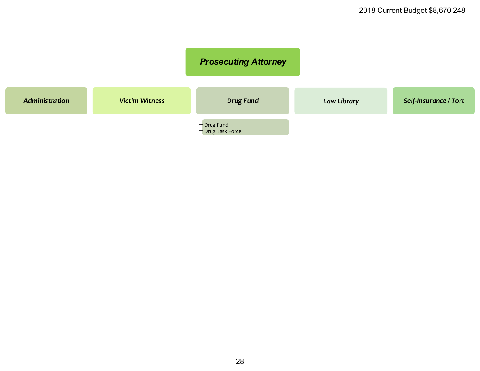<span id="page-28-0"></span>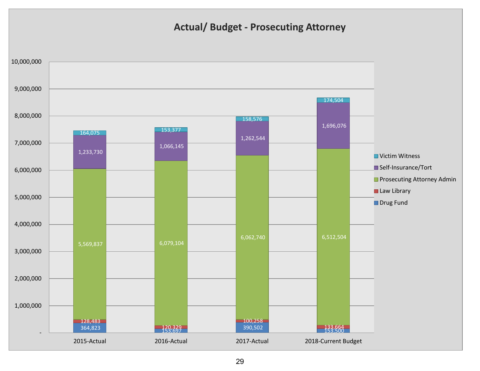### **Actual/ Budget - Prosecuting Attorney**

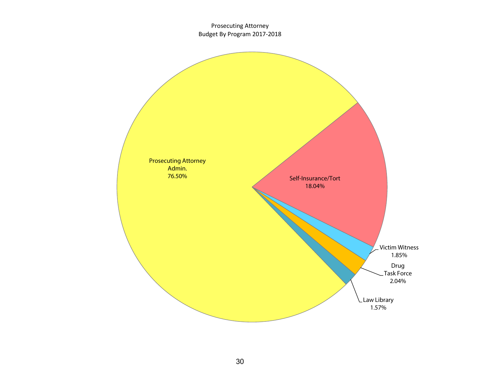Prosecuting Attorney Budget By Program 2017-2018

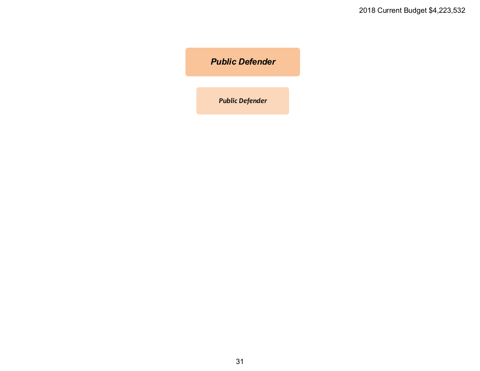### <span id="page-31-0"></span>*Public Defender*

*Public Defender*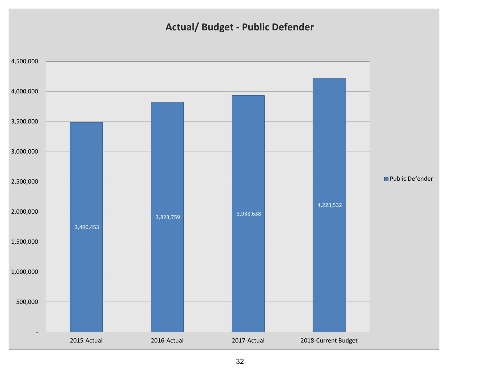# **Actual/ Budget - Public Defender**

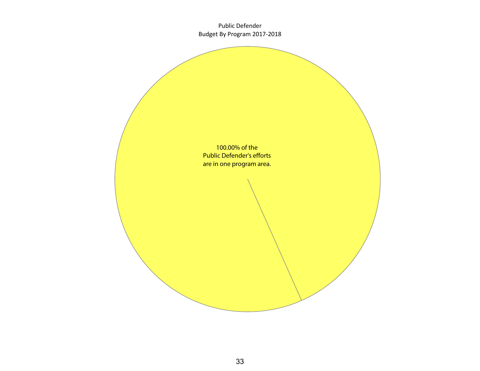Public Defender Budget By Program 2017-2018

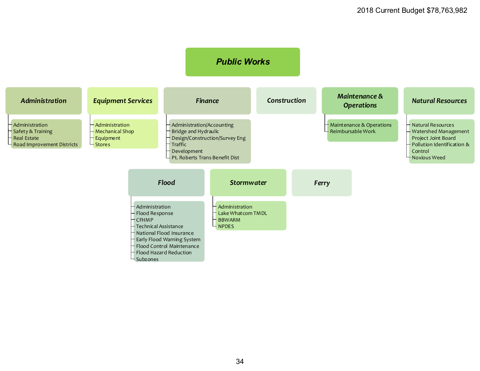<span id="page-34-0"></span>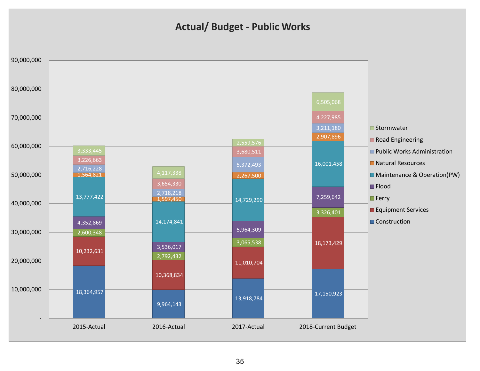### **Actual/ Budget - Public Works**

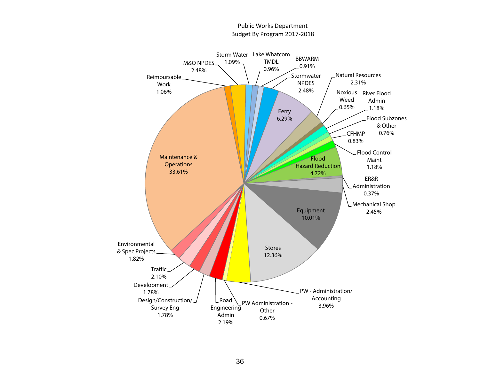![](_page_36_Figure_0.jpeg)

#### Public Works Department Budget By Program 2017-2018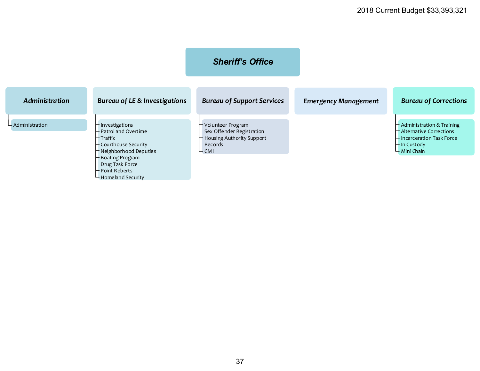<span id="page-37-0"></span>

|                    |                                                                                                                                                                         | <b>Sheriff's Office</b>                                                                                        |                             |                                                                                                                        |
|--------------------|-------------------------------------------------------------------------------------------------------------------------------------------------------------------------|----------------------------------------------------------------------------------------------------------------|-----------------------------|------------------------------------------------------------------------------------------------------------------------|
| Administration     | Bureau of LE & Investigations                                                                                                                                           | <b>Bureau of Support Services</b>                                                                              | <b>Emergency Management</b> | <b>Bureau of Corrections</b>                                                                                           |
| $-$ Administration | – Investigations<br>- Patrol and Overtime<br>- Traffic<br>- Courthouse Security<br>- Neighborhood Deputies<br>- Boating Program<br>- Drug Task Force<br>- Point Roberts | - Volunteer Program<br>- Sex Offender Registration<br>Housing Authority Support<br>- Records<br>$\vdash$ Civil |                             | - Administration & Training<br>- Alternative Corrections<br>– Incarceration Task Force<br>— In Custody<br>- Mini Chain |

Homeland Security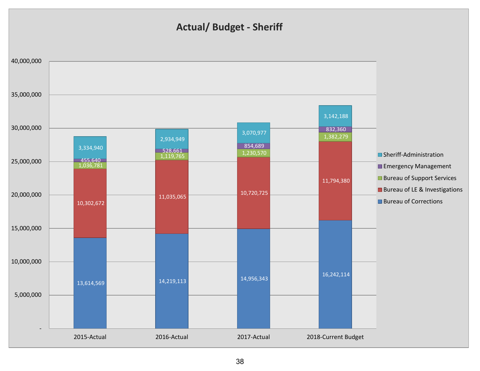### **Actual/ Budget - Sheriff**

![](_page_38_Figure_1.jpeg)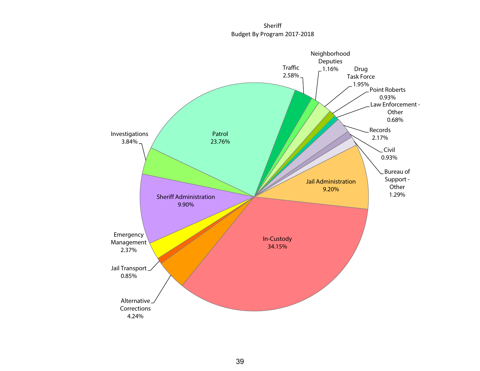Sheriff Budget By Program 2017-2018

![](_page_39_Figure_1.jpeg)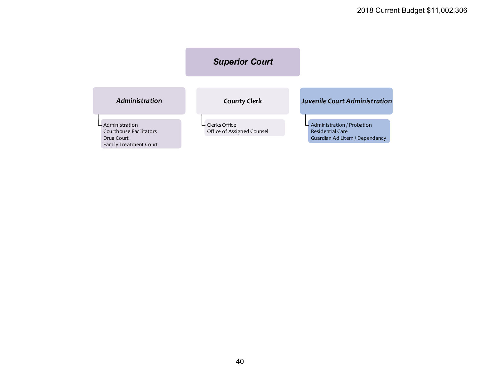<span id="page-40-0"></span>![](_page_40_Figure_1.jpeg)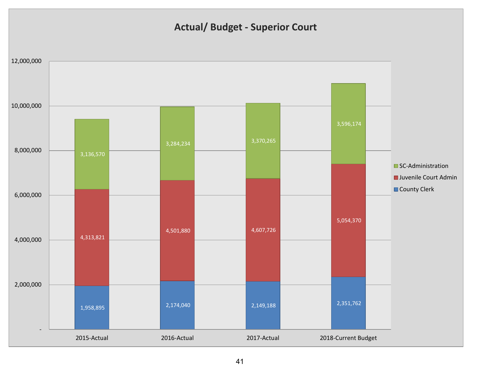### **Actual/ Budget - Superior Court**

![](_page_41_Figure_1.jpeg)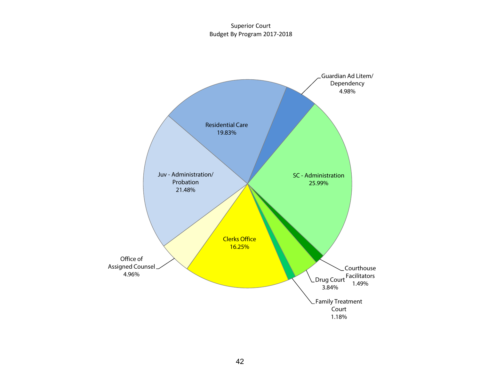Superior Court Budget By Program 2017-2018

![](_page_42_Figure_1.jpeg)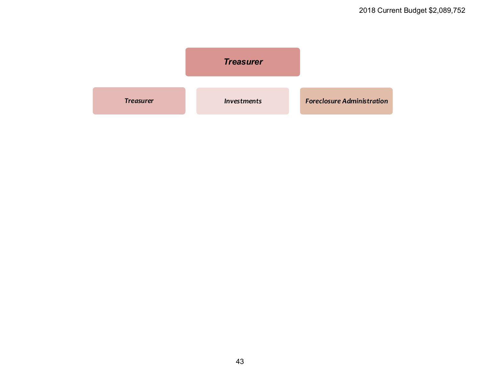<span id="page-43-0"></span>![](_page_43_Figure_1.jpeg)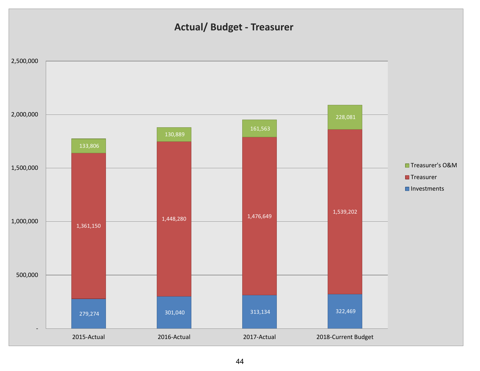### **Actual/ Budget - Treasurer**

![](_page_44_Figure_1.jpeg)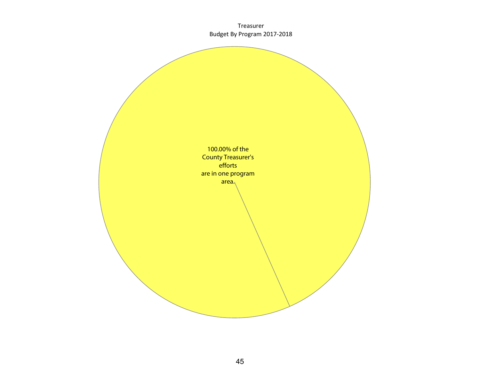Treasurer Budget By Program 2017-2018

![](_page_45_Picture_1.jpeg)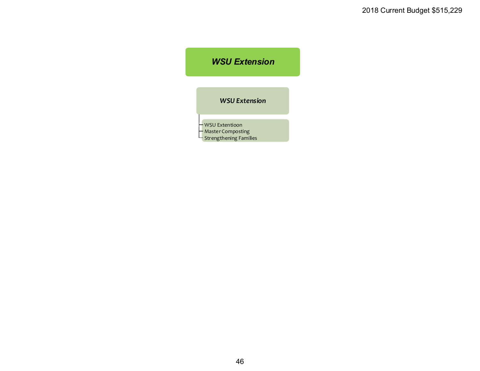### <span id="page-46-0"></span>*WSU Extension*

*WSU Extension*

WSU Extentioon Master Composting

Strengthening Families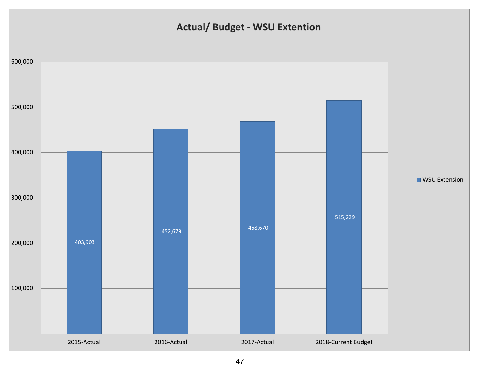# **Actual/ Budget - WSU Extention**

![](_page_47_Figure_1.jpeg)